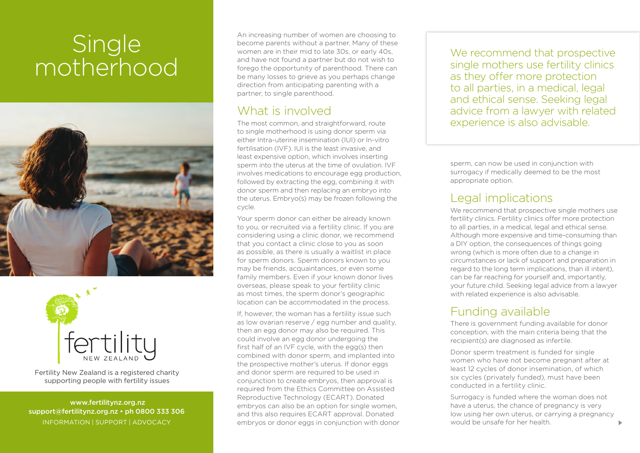# **Single** motherhood





Fertility New Zealand is a registered charity supporting people with fertility issues

 www.fertilitynz.org.nz support@fertilitynz.org.nz • ph 0800 333 306 INFORMATION | SUPPORT | ADVOCACY

An increasing number of women are choosing to become parents without a partner. Many of these women are in their mid to late 30s, or early 40s, and have not found a partner but do not wish to forego the opportunity of parenthood. There can be many losses to grieve as you perhaps change direction from anticipating parenting with a partner, to single parenthood.

#### What is involved

The most common, and straightforward, route to single motherhood is using donor sperm via either Intra-uterine insemination (IUI) or In-vitro fertilisation (IVF). IUI is the least invasive, and least expensive option, which involves inserting sperm into the uterus at the time of ovulation. IVF involves medications to encourage egg production, followed by extracting the egg, combining it with donor sperm and then replacing an embryo into the uterus. Embryo(s) may be frozen following the cycle.

Your sperm donor can either be already known to you, or recruited via a fertility clinic. If you are considering using a clinic donor, we recommend that you contact a clinic close to you as soon as possible, as there is usually a waitlist in place for sperm donors. Sperm donors known to you may be friends, acquaintances, or even some family members. Even if your known donor lives overseas, please speak to your fertility clinic as most times, the sperm donor's geographic location can be accommodated in the process.

If, however, the woman has a fertility issue such as low ovarian reserve / egg number and quality, then an egg donor may also be required. This could involve an egg donor undergoing the first half of an IVF cycle, with the egg(s) then combined with donor sperm, and implanted into the prospective mother's uterus. If donor eggs and donor sperm are required to be used in conjunction to create embryos, then approval is required from the Ethics Committee on Assisted Reproductive Technology (ECART). Donated embryos can also be an option for single women, and this also requires ECART approval. Donated embryos or donor eggs in conjunction with donor We recommend that prospective single mothers use fertility clinics as they offer more protection to all parties, in a medical, legal and ethical sense. Seeking legal advice from a lawyer with related experience is also advisable.

sperm, can now be used in conjunction with surrogacy if medically deemed to be the most appropriate option.

#### Legal implications

We recommend that prospective single mothers use fertility clinics. Fertility clinics offer more protection to all parties, in a medical, legal and ethical sense. Although more expensive and time-consuming than a DIY option, the consequences of things going wrong (which is more often due to a change in circumstances or lack of support and preparation in regard to the long term implications, than ill intent), can be far reaching for yourself and, importantly, your future child. Seeking legal advice from a lawyer with related experience is also advisable.

## Funding available

There is government funding available for donor conception, with the main criteria being that the recipient(s) are diagnosed as infertile.

Donor sperm treatment is funded for single women who have not become pregnant after at least 12 cycles of donor insemination, of which six cycles (privately funded), must have been conducted in a fertility clinic.

Surrogacy is funded where the woman does not have a uterus, the chance of pregnancy is very low using her own uterus, or carrying a pregnancy would be unsafe for her health.